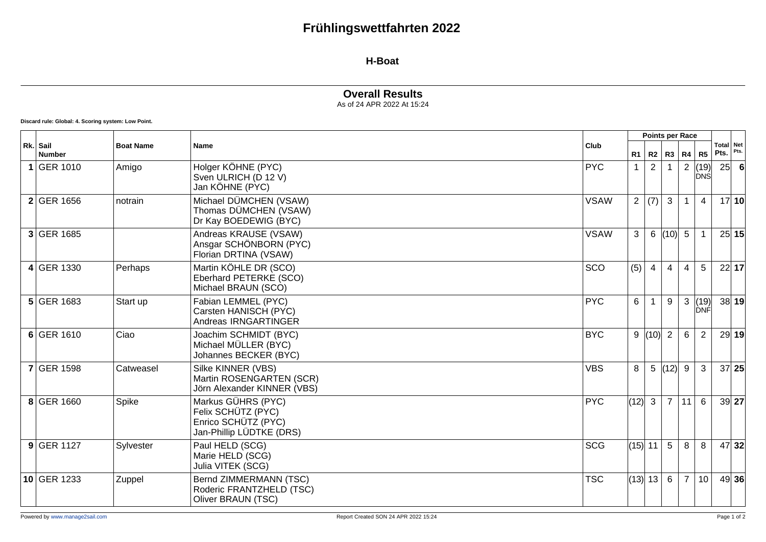## **Frühlingswettfahrten 2022**

#### **H-Boat**

### **Overall Results**

As of 24 APR 2022 At 15:24

**Discard rule: Global: 4. Scoring system: Low Point.**

|                           |                  |                                                                                             | Club        | Points per Race                 |                |                |                 |                    |                   |       |
|---------------------------|------------------|---------------------------------------------------------------------------------------------|-------------|---------------------------------|----------------|----------------|-----------------|--------------------|-------------------|-------|
| Rk. Sail<br><b>Number</b> | <b>Boat Name</b> | Name                                                                                        |             | R1                              |                | $R2$ $R3$      | R4              | R5                 | Total Net<br>Pts. | Pts.  |
| 1 GER 1010                | Amigo            | Holger KÖHNE (PYC)<br>Sven ULRICH (D 12 V)<br>Jan KÖHNE (PYC)                               | <b>PYC</b>  |                                 | $\overline{2}$ |                | 2               | (19)<br><b>DNS</b> | 25                |       |
| 2 GER 1656                | notrain          | Michael DÜMCHEN (VSAW)<br>Thomas DÜMCHEN (VSAW)<br>Dr Kay BOEDEWIG (BYC)                    | <b>VSAW</b> | $\overline{2}$                  | (7)            | $\mathbf{3}$   | $\mathbf{1}$    | 4                  |                   | 17 10 |
| 3 GER 1685                |                  | Andreas KRAUSE (VSAW)<br>Ansgar SCHÖNBORN (PYC)<br>Florian DRTINA (VSAW)                    | <b>VSAW</b> | 3                               | 6              | (10)           | $5\overline{)}$ |                    |                   | 25 15 |
| 4 GER 1330                | Perhaps          | Martin KÖHLE DR (SCO)<br>Eberhard PETERKE (SCO)<br>Michael BRAUN (SCO)                      | SCO         | (5)                             | 4              | $\overline{4}$ | $\overline{4}$  | 5                  |                   | 22 17 |
| 5 GER 1683                | Start up         | Fabian LEMMEL (PYC)<br>Carsten HANISCH (PYC)<br>Andreas IRNGARTINGER                        | <b>PYC</b>  | 6                               |                | 9              | 3               | (19)<br>DNF        |                   | 38 19 |
| $6$ GER 1610              | Ciao             | Joachim SCHMIDT (BYC)<br>Michael MÜLLER (BYC)<br>Johannes BECKER (BYC)                      | <b>BYC</b>  | 9                               | (10)           | $\overline{2}$ | 6               | $\overline{2}$     |                   | 29 19 |
| <b>7 GER 1598</b>         | Catweasel        | Silke KINNER (VBS)<br>Martin ROSENGARTEN (SCR)<br>Jörn Alexander KINNER (VBS)               | <b>VBS</b>  | 8                               | 5 <sup>5</sup> | (12)           | 9               | 3                  |                   | 37 25 |
| 8 GER 1660                | Spike            | Markus GÜHRS (PYC)<br>Felix SCHÜTZ (PYC)<br>Enrico SCHÜTZ (PYC)<br>Jan-Phillip LÜDTKE (DRS) | <b>PYC</b>  | (12)                            | $\mathbf{3}$   | $\overline{7}$ | 11              | 6                  |                   | 39 27 |
| $9$ GER 1127              | Sylvester        | Paul HELD (SCG)<br>Marie HELD (SCG)<br>Julia VITEK (SCG)                                    | <b>SCG</b>  | $(15)$ 11                       |                | 5              | 8               | 8                  |                   | 47 32 |
| 10 GER 1233               | Zuppel           | Bernd ZIMMERMANN (TSC)<br>Roderic FRANTZHELD (TSC)<br>Oliver BRAUN (TSC)                    | <b>TSC</b>  | $\vert$ (13) $\vert$ 13 $\vert$ |                | $6\phantom{1}$ | $\overline{7}$  | 10                 |                   | 49 36 |